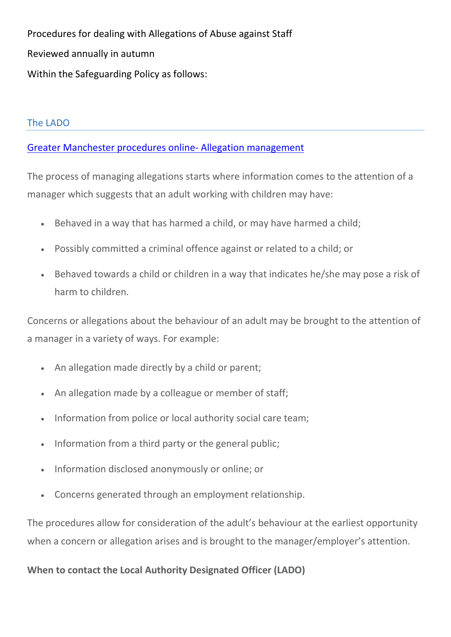Procedures for dealing with Allegations of Abuse against Staff Reviewed annually in autumn Within the Safeguarding Policy as follows:

## The LADO

## [Greater Manchester procedures online-](http://greatermanchesterscb.proceduresonline.com/chapters/p_man_allegations.html?zoom_highlight=LADO) Allegation management

The process of managing allegations starts where information comes to the attention of a manager which suggests that an adult working with children may have:

- Behaved in a way that has harmed a child, or may have harmed a child;
- Possibly committed a criminal offence against or related to a child; or
- Behaved towards a child or children in a way that indicates he/she may pose a risk of harm to children.

Concerns or allegations about the behaviour of an adult may be brought to the attention of a manager in a variety of ways. For example:

- An allegation made directly by a child or parent;
- An allegation made by a colleague or member of staff;
- Information from police or local authority social care team;
- Information from a third party or the general public;
- Information disclosed anonymously or online; or
- Concerns generated through an employment relationship.

The procedures allow for consideration of the adult's behaviour at the earliest opportunity when a concern or allegation arises and is brought to the manager/employer's attention.

**When to contact the Local Authority Designated Officer (LADO)**